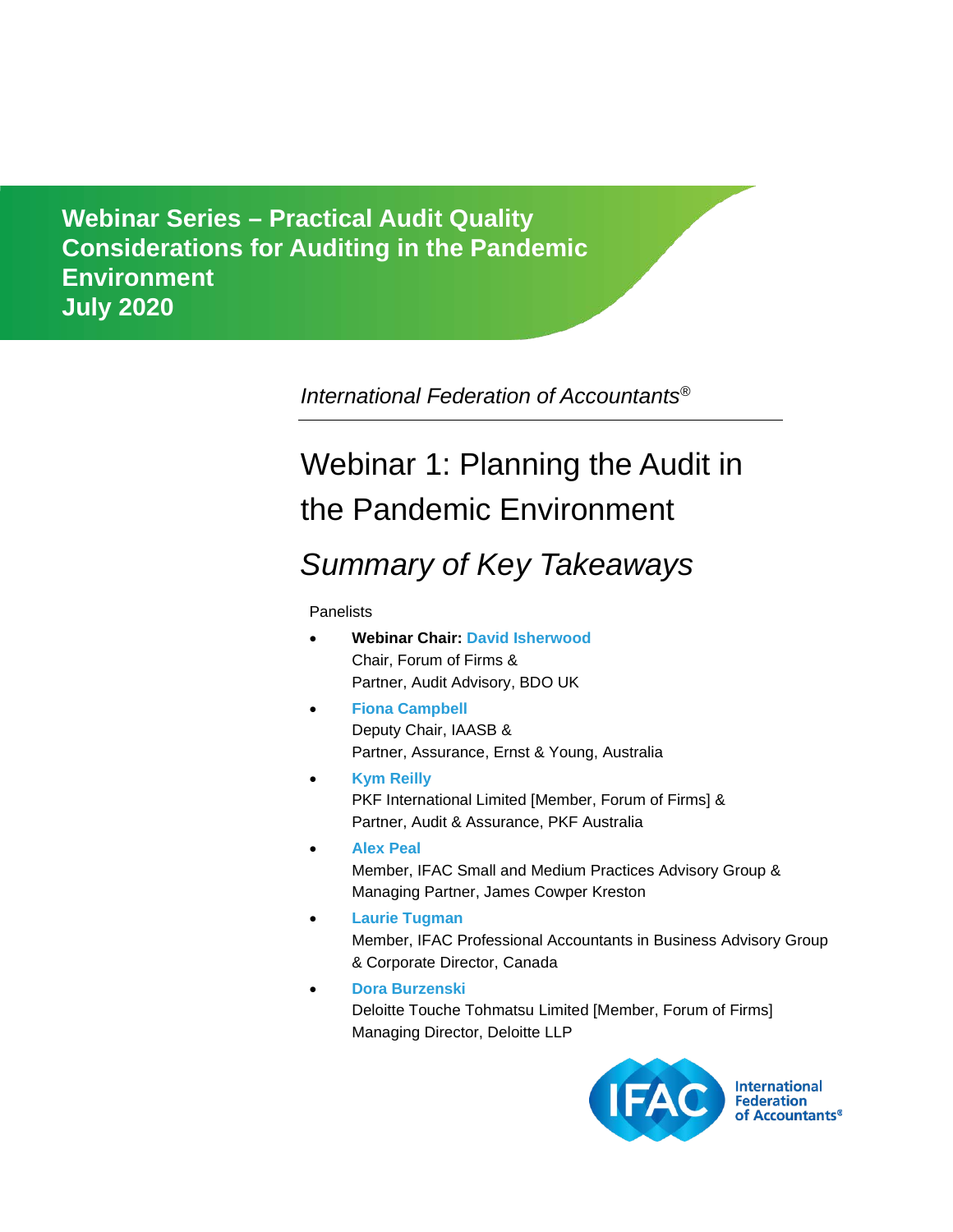**Considerations for Auditing in the Pandemic Environment** *Comments due: February 29, 2012* **July 2020Webinar Series – Practical Audit Quality** 

*International Federation of Accountants®*

# Webinar 1: Planning the Audit in the Pandemic Environment

## *Summary of Key Takeaways*

**Panelists** 

- **Webinar Chair: [David Isherwood](https://www.ifac.org/who-we-are/leadership/david-isherwood)** Chair, Forum of Firms & Partner, Audit Advisory, BDO UK
- **[Fiona Campbell](https://www.ifac.org/bio/fiona-campbell)** Deputy Chair, IAASB & Partner, Assurance, Ernst & Young, Australia
- **[Kym Reilly](https://www.pkf.com.au/people-search/kym-reilly/)** PKF International Limited [Member, Forum of Firms] & Partner, Audit & Assurance, PKF Australia
- **[Alex Peal](https://www.ifac.org/bio/alex-peal)** Member, IFAC Small and Medium Practices Advisory Group & Managing Partner, James Cowper Kreston
- **[Laurie Tugman](https://www.ifac.org/who-we-are/leadership/laurie-tugman)** Member, IFAC Professional Accountants in Business Advisory Group & Corporate Director, Canada
- **[Dora Burzenski](https://www.linkedin.com/in/dora-burzenski-660377155)** Deloitte Touche Tohmatsu Limited [Member, Forum of Firms] Managing Director, Deloitte LLP

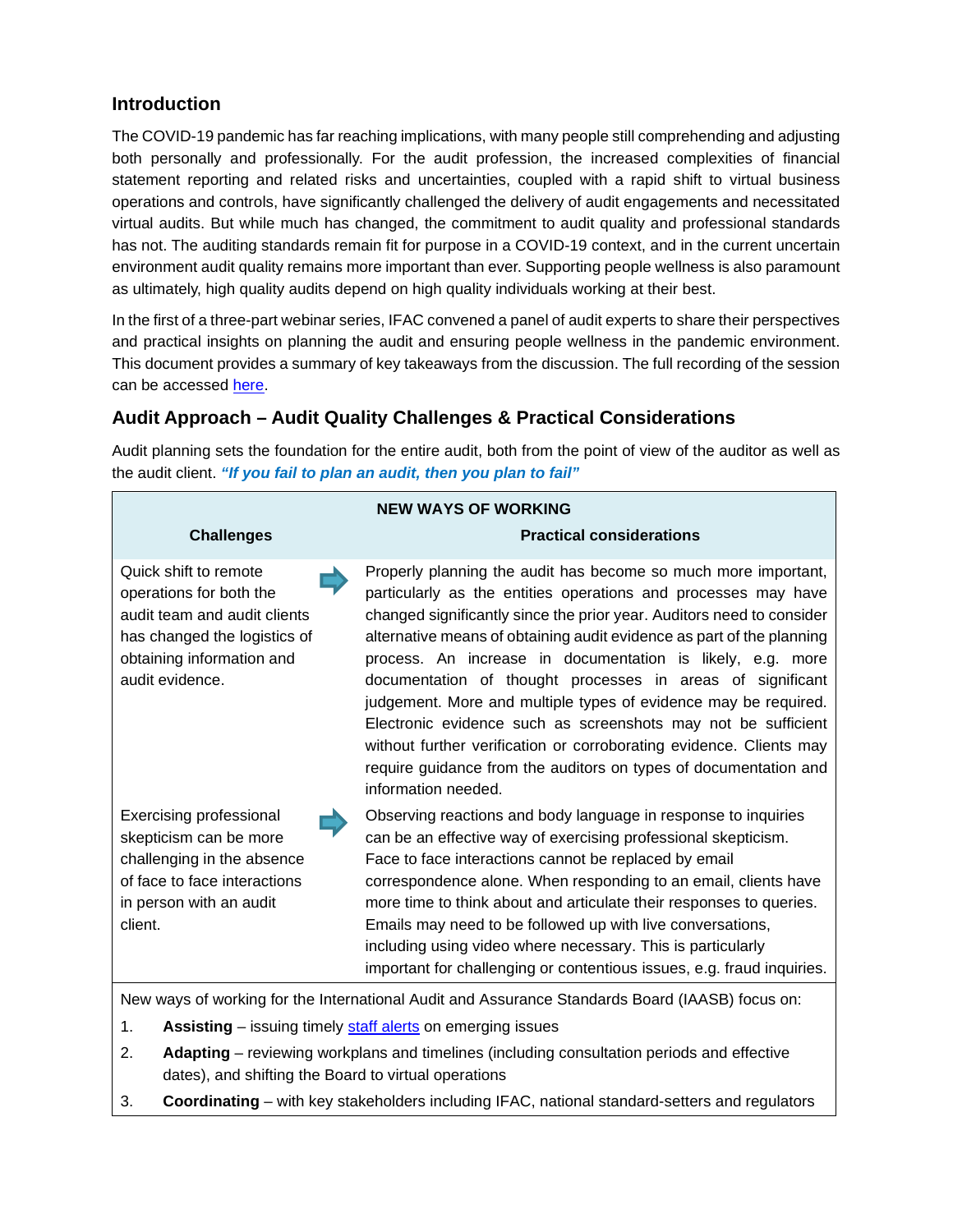### **Introduction**

The COVID-19 pandemic has far reaching implications, with many people still comprehending and adjusting both personally and professionally. For the audit profession, the increased complexities of financial statement reporting and related risks and uncertainties, coupled with a rapid shift to virtual business operations and controls, have significantly challenged the delivery of audit engagements and necessitated virtual audits. But while much has changed, the commitment to audit quality and professional standards has not. The auditing standards remain fit for purpose in a COVID-19 context, and in the current uncertain environment audit quality remains more important than ever. Supporting people wellness is also paramount as ultimately, high quality audits depend on high quality individuals working at their best.

In the first of a three-part webinar series, IFAC convened a panel of audit experts to share their perspectives and practical insights on planning the audit and ensuring people wellness in the pandemic environment. This document provides a summary of key takeaways from the discussion. The full recording of the session can be accessed [here.](https://www.ifac.org/knowledge-gateway/supporting-international-standards/discussion/practical-audit-quality-considerations-planning-audit-pandemic-environment-summary-key-takeaways)

## **Audit Approach – Audit Quality Challenges & Practical Considerations**

Audit planning sets the foundation for the entire audit, both from the point of view of the auditor as well as the audit client. *"If you fail to plan an audit, then you plan to fail"*

| <b>NEW WAYS OF WORKING</b>                                                                                                                                       |                                                                                                                                                                                                                                                                                                                                                                                                                                                                                                                                                                                                                                                                                                                      |
|------------------------------------------------------------------------------------------------------------------------------------------------------------------|----------------------------------------------------------------------------------------------------------------------------------------------------------------------------------------------------------------------------------------------------------------------------------------------------------------------------------------------------------------------------------------------------------------------------------------------------------------------------------------------------------------------------------------------------------------------------------------------------------------------------------------------------------------------------------------------------------------------|
| <b>Challenges</b>                                                                                                                                                | <b>Practical considerations</b>                                                                                                                                                                                                                                                                                                                                                                                                                                                                                                                                                                                                                                                                                      |
| Quick shift to remote<br>operations for both the<br>audit team and audit clients<br>has changed the logistics of<br>obtaining information and<br>audit evidence. | Properly planning the audit has become so much more important,<br>particularly as the entities operations and processes may have<br>changed significantly since the prior year. Auditors need to consider<br>alternative means of obtaining audit evidence as part of the planning<br>process. An increase in documentation is likely, e.g. more<br>documentation of thought processes in areas of significant<br>judgement. More and multiple types of evidence may be required.<br>Electronic evidence such as screenshots may not be sufficient<br>without further verification or corroborating evidence. Clients may<br>require guidance from the auditors on types of documentation and<br>information needed. |
| <b>Exercising professional</b><br>skepticism can be more<br>challenging in the absence<br>of face to face interactions<br>in person with an audit<br>client.     | Observing reactions and body language in response to inquiries<br>can be an effective way of exercising professional skepticism.<br>Face to face interactions cannot be replaced by email<br>correspondence alone. When responding to an email, clients have<br>more time to think about and articulate their responses to queries.<br>Emails may need to be followed up with live conversations,<br>including using video where necessary. This is particularly<br>important for challenging or contentious issues, e.g. fraud inquiries.                                                                                                                                                                           |
| New ways of working for the International Audit and Assurance Standards Board (IAASB) focus on:                                                                  |                                                                                                                                                                                                                                                                                                                                                                                                                                                                                                                                                                                                                                                                                                                      |

1. **Assisting** – issuing timely [staff alerts](https://www.iaasb.org/focus-areas/guidance-auditors-during-coronavirus-pandemic) on emerging issues

- 2. **Adapting** reviewing workplans and timelines (including consultation periods and effective dates), and shifting the Board to virtual operations
- 3. **Coordinating** with key stakeholders including IFAC, national standard-setters and regulators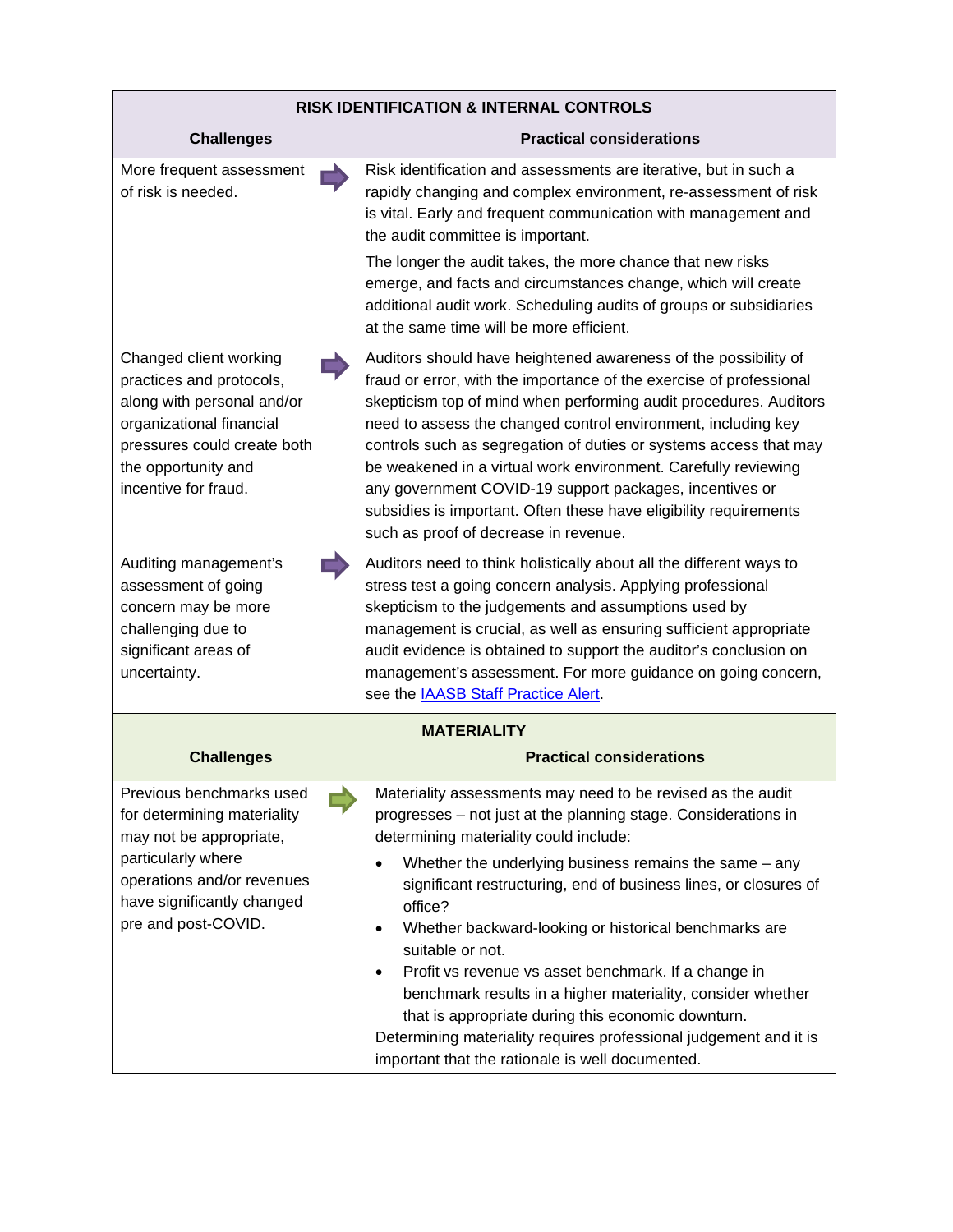#### **RISK IDENTIFICATION & INTERNAL CONTROLS**

#### **Challenges Practical considerations**

More frequent assessment of risk is needed.

Risk identification and assessments are iterative, but in such a rapidly changing and complex environment, re-assessment of risk is vital. Early and frequent communication with management and the audit committee is important.

The longer the audit takes, the more chance that new risks emerge, and facts and circumstances change, which will create additional audit work. Scheduling audits of groups or subsidiaries at the same time will be more efficient.

Changed client working practices and protocols, along with personal and/or organizational financial pressures could create both the opportunity and incentive for fraud.

Auditing management's assessment of going concern may be more challenging due to significant areas of uncertainty.

Auditors should have heightened awareness of the possibility of fraud or error, with the importance of the exercise of professional skepticism top of mind when performing audit procedures. Auditors need to assess the changed control environment, including key controls such as segregation of duties or systems access that may be weakened in a virtual work environment. Carefully reviewing any government COVID-19 support packages, incentives or subsidies is important. Often these have eligibility requirements such as proof of decrease in revenue.

Auditors need to think holistically about all the different ways to stress test a going concern analysis. Applying professional skepticism to the judgements and assumptions used by management is crucial, as well as ensuring sufficient appropriate audit evidence is obtained to support the auditor's conclusion on management's assessment. For more guidance on going concern, see the [IAASB Staff Practice Alert.](https://www.ifac.org/system/files/publications/files/IAASB-Staff-Alert-Going-Concern-April-2020.pdf)

#### **MATERIALITY**

#### **Challenges Practical considerations**

Previous benchmarks used for determining materiality may not be appropriate, particularly where operations and/or revenues have significantly changed pre and post-COVID.

Materiality assessments may need to be revised as the audit progresses – not just at the planning stage. Considerations in determining materiality could include:

- Whether the underlying business remains the same any significant restructuring, end of business lines, or closures of office?
- Whether backward-looking or historical benchmarks are suitable or not.
- Profit vs revenue vs asset benchmark. If a change in benchmark results in a higher materiality, consider whether that is appropriate during this economic downturn.

Determining materiality requires professional judgement and it is important that the rationale is well documented.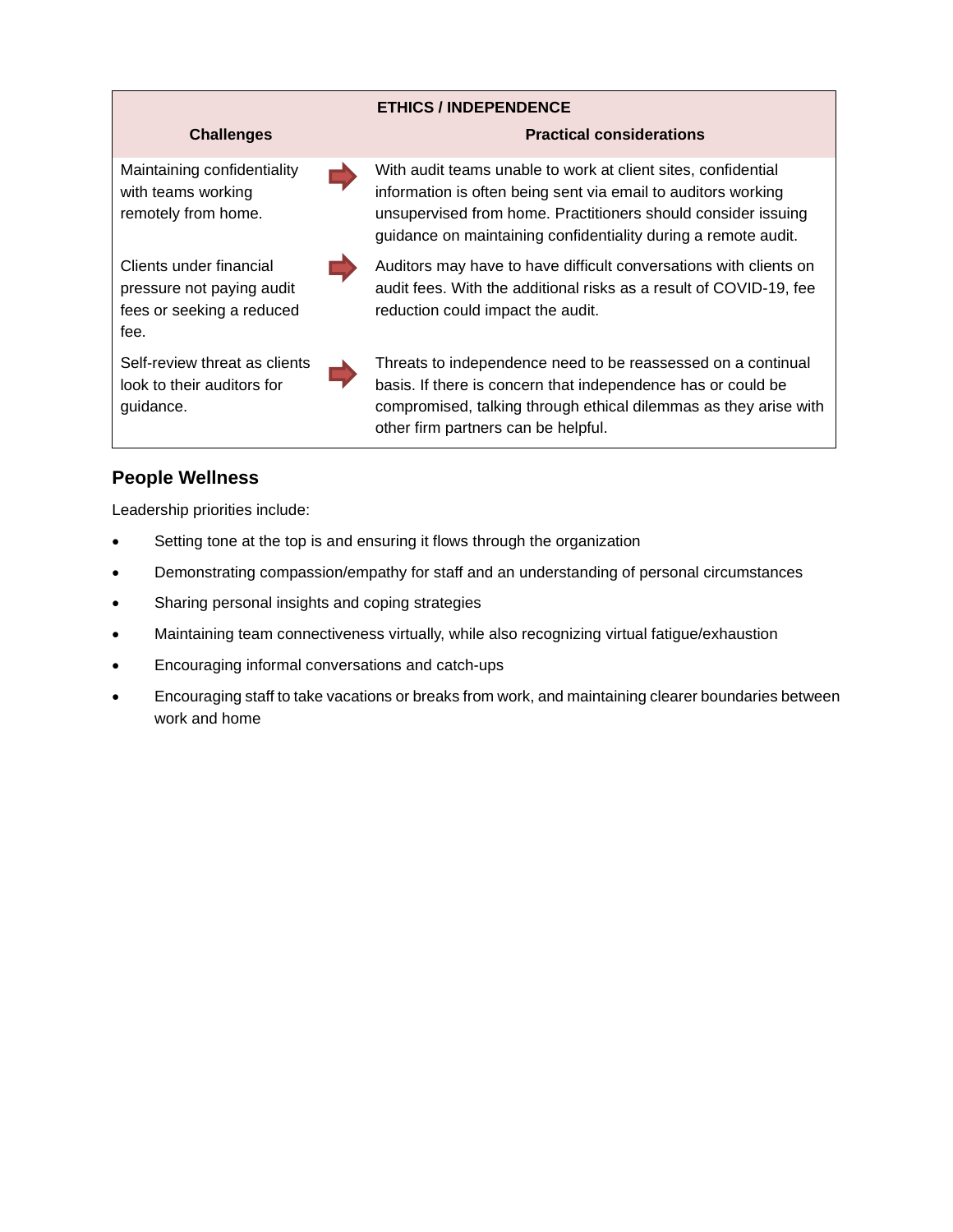

## **People Wellness**

Leadership priorities include:

- Setting tone at the top is and ensuring it flows through the organization
- Demonstrating compassion/empathy for staff and an understanding of personal circumstances
- Sharing personal insights and coping strategies
- Maintaining team connectiveness virtually, while also recognizing virtual fatigue/exhaustion
- Encouraging informal conversations and catch-ups
- Encouraging staff to take vacations or breaks from work, and maintaining clearer boundaries between work and home